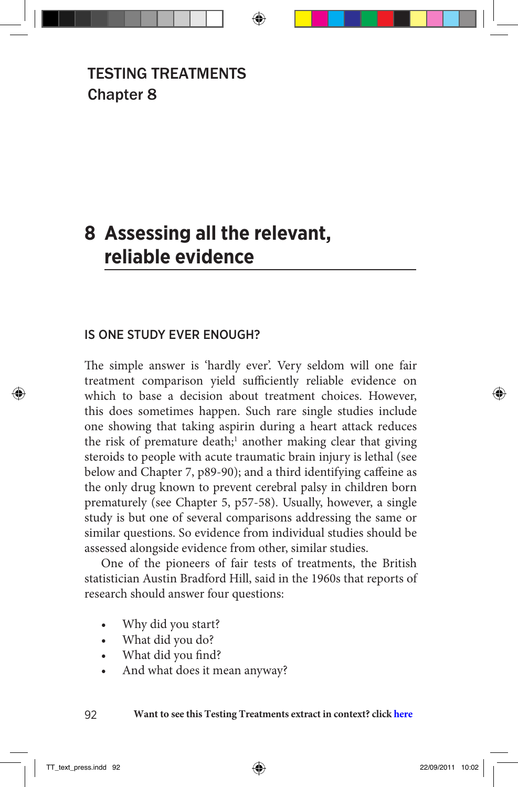# TESTING TREATMENTS Chapter 8

# **8 Assessing all the relevant, reliable evidence**

#### IS ONE STUDY EVER ENOUGH?

The simple answer is 'hardly ever'. Very seldom will one fair treatment comparison yield sufficiently reliable evidence on which to base a decision about treatment choices. However, this does sometimes happen. Such rare single studies include one showing that taking aspirin during a heart attack reduces the risk of premature death;<sup>1</sup> another making clear that giving steroids to people with acute traumatic brain injury is lethal (see below and Chapter 7, p89-90); and a third identifying caffeine as the only drug known to prevent cerebral palsy in children born prematurely (see Chapter 5, p57-58). Usually, however, a single study is but one of several comparisons addressing the same or similar questions. So evidence from individual studies should be assessed alongside evidence from other, similar studies.

One of the pioneers of fair tests of treatments, the British statistician Austin Bradford Hill, said in the 1960s that reports of research should answer four questions:

- Why did you start?
- What did you do?
- What did you find?
- And what does it mean anyway?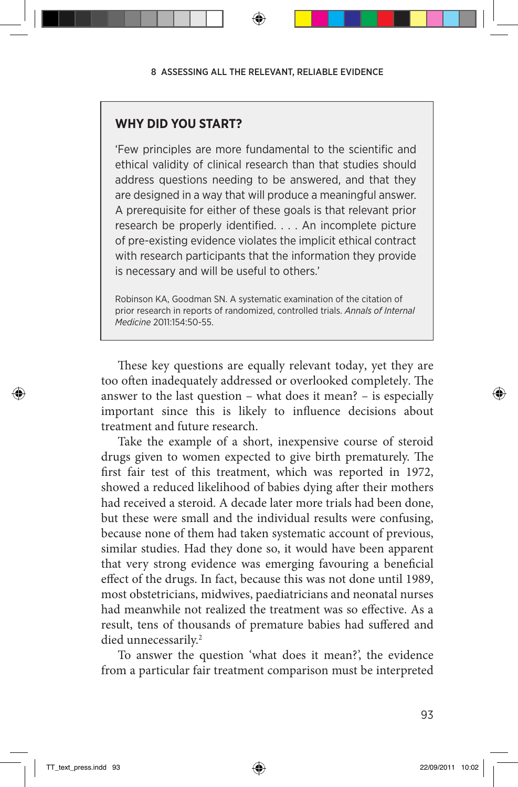#### **WHY DID YOU START?**

'Few principles are more fundamental to the scientific and ethical validity of clinical research than that studies should address questions needing to be answered, and that they are designed in a way that will produce a meaningful answer. A prerequisite for either of these goals is that relevant prior research be properly identified. . . . An incomplete picture of pre-existing evidence violates the implicit ethical contract with research participants that the information they provide is necessary and will be useful to others.'

Robinson KA, Goodman SN. A systematic examination of the citation of prior research in reports of randomized, controlled trials. *Annals of Internal Medicine* 2011:154:50-55.

These key questions are equally relevant today, yet they are too often inadequately addressed or overlooked completely. The answer to the last question – what does it mean? – is especially important since this is likely to influence decisions about treatment and future research.

Take the example of a short, inexpensive course of steroid drugs given to women expected to give birth prematurely. The first fair test of this treatment, which was reported in 1972, showed a reduced likelihood of babies dying after their mothers had received a steroid. A decade later more trials had been done, but these were small and the individual results were confusing, because none of them had taken systematic account of previous, similar studies. Had they done so, it would have been apparent that very strong evidence was emerging favouring a beneficial effect of the drugs. In fact, because this was not done until 1989, most obstetricians, midwives, paediatricians and neonatal nurses had meanwhile not realized the treatment was so effective. As a result, tens of thousands of premature babies had suffered and died unnecessarily.<sup>2</sup>

To answer the question 'what does it mean?', the evidence from a particular fair treatment comparison must be interpreted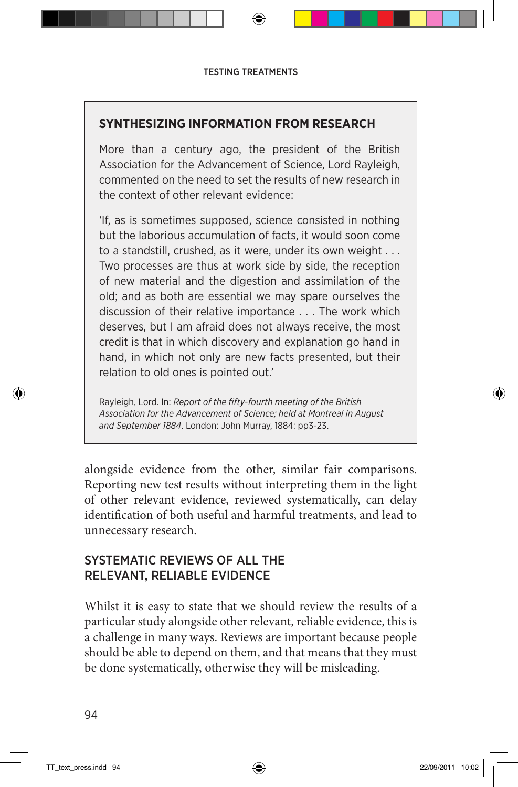## **SYNTHESIZING INFORMATION FROM RESEARCH**

More than a century ago, the president of the British Association for the Advancement of Science, Lord Rayleigh, commented on the need to set the results of new research in the context of other relevant evidence:

'If, as is sometimes supposed, science consisted in nothing but the laborious accumulation of facts, it would soon come to a standstill, crushed, as it were, under its own weight . . . Two processes are thus at work side by side, the reception of new material and the digestion and assimilation of the old; and as both are essential we may spare ourselves the discussion of their relative importance . . . The work which deserves, but I am afraid does not always receive, the most credit is that in which discovery and explanation go hand in hand, in which not only are new facts presented, but their relation to old ones is pointed out.'

Rayleigh, Lord. In: *Report of the fifty-fourth meeting of the British Association for the Advancement of Science; held at Montreal in August and September 1884*. London: John Murray, 1884: pp3-23.

alongside evidence from the other, similar fair comparisons. Reporting new test results without interpreting them in the light of other relevant evidence, reviewed systematically, can delay identification of both useful and harmful treatments, and lead to unnecessary research.

## SYSTEMATIC REVIEWS OF ALL THE RELEVANT, RELIABLE EVIDENCE

Whilst it is easy to state that we should review the results of a particular study alongside other relevant, reliable evidence, this is a challenge in many ways. Reviews are important because people should be able to depend on them, and that means that they must be done systematically, otherwise they will be misleading.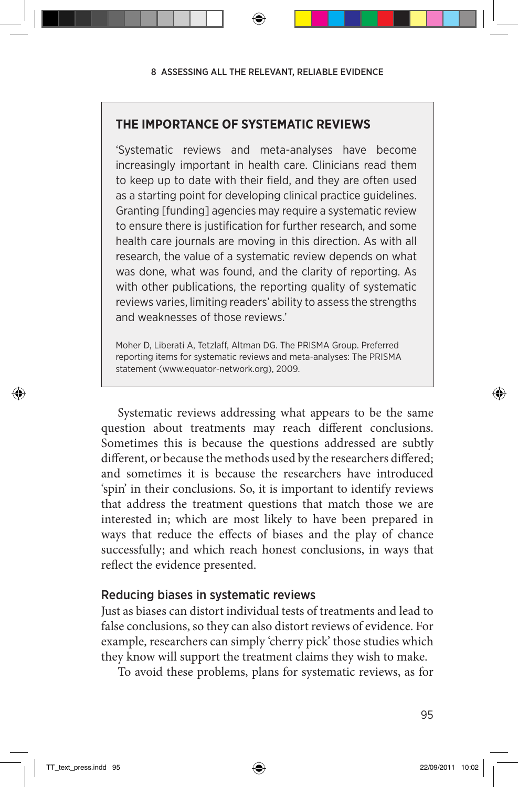#### **THE IMPORTANCE OF SYSTEMATIC REVIEWS**

'Systematic reviews and meta-analyses have become increasingly important in health care. Clinicians read them to keep up to date with their field, and they are often used as a starting point for developing clinical practice guidelines. Granting [funding] agencies may require a systematic review to ensure there is justification for further research, and some health care journals are moving in this direction. As with all research, the value of a systematic review depends on what was done, what was found, and the clarity of reporting. As with other publications, the reporting quality of systematic reviews varies, limiting readers' ability to assess the strengths and weaknesses of those reviews.'

Moher D, Liberati A, Tetzlaff, Altman DG. The PRISMA Group. Preferred reporting items for systematic reviews and meta-analyses: The PRISMA statement (www.equator-network.org), 2009.

Systematic reviews addressing what appears to be the same question about treatments may reach different conclusions. Sometimes this is because the questions addressed are subtly different, or because the methods used by the researchers differed; and sometimes it is because the researchers have introduced 'spin' in their conclusions. So, it is important to identify reviews that address the treatment questions that match those we are interested in; which are most likely to have been prepared in ways that reduce the effects of biases and the play of chance successfully; and which reach honest conclusions, in ways that reflect the evidence presented.

#### Reducing biases in systematic reviews

Just as biases can distort individual tests of treatments and lead to false conclusions, so they can also distort reviews of evidence. For example, researchers can simply 'cherry pick' those studies which they know will support the treatment claims they wish to make.

To avoid these problems, plans for systematic reviews, as for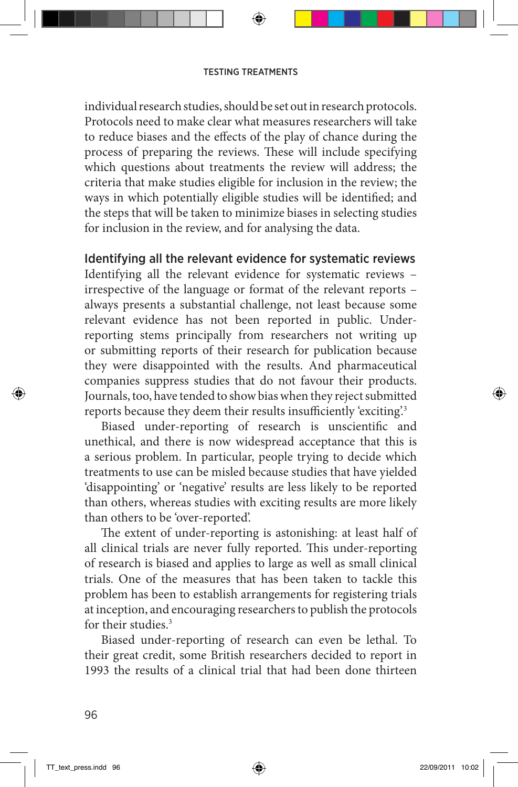individual research studies, should be set out in research protocols. Protocols need to make clear what measures researchers will take to reduce biases and the effects of the play of chance during the process of preparing the reviews. These will include specifying which questions about treatments the review will address; the criteria that make studies eligible for inclusion in the review; the ways in which potentially eligible studies will be identified; and the steps that will be taken to minimize biases in selecting studies for inclusion in the review, and for analysing the data.

Identifying all the relevant evidence for systematic reviews

Identifying all the relevant evidence for systematic reviews – irrespective of the language or format of the relevant reports – always presents a substantial challenge, not least because some relevant evidence has not been reported in public. Underreporting stems principally from researchers not writing up or submitting reports of their research for publication because they were disappointed with the results. And pharmaceutical companies suppress studies that do not favour their products. Journals, too, have tended to show bias when they reject submitted reports because they deem their results insufficiently 'exciting'.<sup>3</sup>

Biased under-reporting of research is unscientific and unethical, and there is now widespread acceptance that this is a serious problem. In particular, people trying to decide which treatments to use can be misled because studies that have yielded 'disappointing' or 'negative' results are less likely to be reported than others, whereas studies with exciting results are more likely than others to be 'over-reported'.

The extent of under-reporting is astonishing: at least half of all clinical trials are never fully reported. This under-reporting of research is biased and applies to large as well as small clinical trials. One of the measures that has been taken to tackle this problem has been to establish arrangements for registering trials at inception, and encouraging researchers to publish the protocols for their studies.3

Biased under-reporting of research can even be lethal. To their great credit, some British researchers decided to report in 1993 the results of a clinical trial that had been done thirteen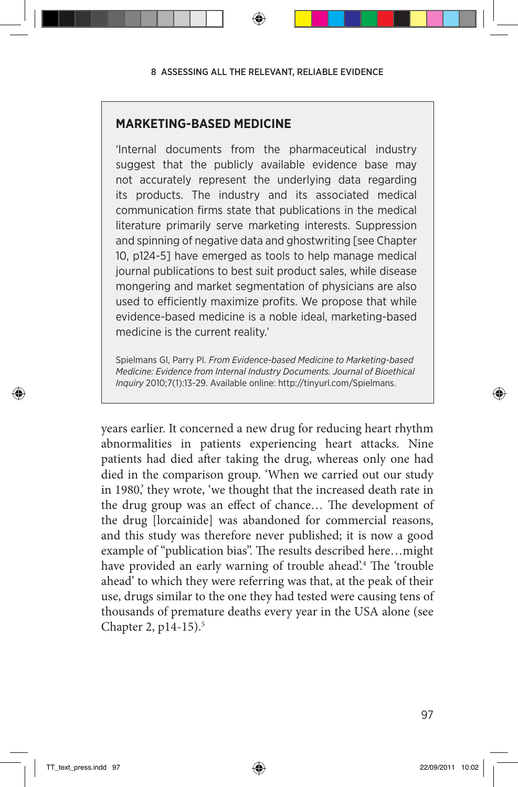# **MARKETING-BASED MEDICINE**

'Internal documents from the pharmaceutical industry suggest that the publicly available evidence base may not accurately represent the underlying data regarding its products. The industry and its associated medical communication firms state that publications in the medical literature primarily serve marketing interests. Suppression and spinning of negative data and ghostwriting [see Chapter 10, p124-5] have emerged as tools to help manage medical journal publications to best suit product sales, while disease mongering and market segmentation of physicians are also used to efficiently maximize profits. We propose that while evidence-based medicine is a noble ideal, marketing-based medicine is the current reality.'

Spielmans GI, Parry PI. *From Evidence-based Medicine to Marketing-based Medicine: Evidence from Internal Industry Documents. Journal of Bioethical Inquiry* 2010;7(1):13-29. Available online: http://tinyurl.com/Spielmans.

years earlier. It concerned a new drug for reducing heart rhythm abnormalities in patients experiencing heart attacks. Nine patients had died after taking the drug, whereas only one had died in the comparison group. 'When we carried out our study in 1980,' they wrote, 'we thought that the increased death rate in the drug group was an effect of chance… The development of the drug [lorcainide] was abandoned for commercial reasons, and this study was therefore never published; it is now a good example of "publication bias". The results described here…might have provided an early warning of trouble ahead<sup>24</sup> The 'trouble ahead' to which they were referring was that, at the peak of their use, drugs similar to the one they had tested were causing tens of thousands of premature deaths every year in the USA alone (see Chapter 2, p14-15).<sup>5</sup>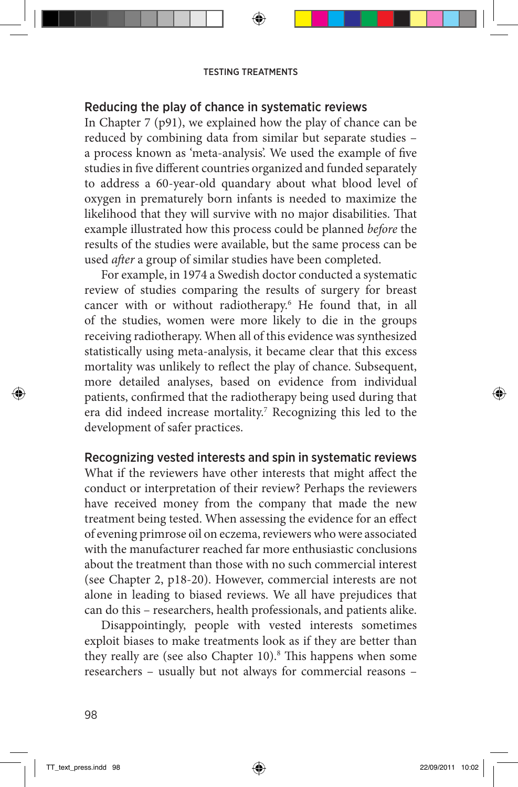#### Reducing the play of chance in systematic reviews

In Chapter 7 (p91), we explained how the play of chance can be reduced by combining data from similar but separate studies – a process known as 'meta-analysis'. We used the example of five studies in five different countries organized and funded separately to address a 60-year-old quandary about what blood level of oxygen in prematurely born infants is needed to maximize the likelihood that they will survive with no major disabilities. That example illustrated how this process could be planned *before* the results of the studies were available, but the same process can be used *after* a group of similar studies have been completed.

For example, in 1974 a Swedish doctor conducted a systematic review of studies comparing the results of surgery for breast cancer with or without radiotherapy.6 He found that, in all of the studies, women were more likely to die in the groups receiving radiotherapy. When all of this evidence was synthesized statistically using meta-analysis, it became clear that this excess mortality was unlikely to reflect the play of chance. Subsequent, more detailed analyses, based on evidence from individual patients, confirmed that the radiotherapy being used during that era did indeed increase mortality.<sup>7</sup> Recognizing this led to the development of safer practices.

#### Recognizing vested interests and spin in systematic reviews

What if the reviewers have other interests that might affect the conduct or interpretation of their review? Perhaps the reviewers have received money from the company that made the new treatment being tested. When assessing the evidence for an effect of evening primrose oil on eczema, reviewers who were associated with the manufacturer reached far more enthusiastic conclusions about the treatment than those with no such commercial interest (see Chapter 2, p18-20). However, commercial interests are not alone in leading to biased reviews. We all have prejudices that can do this – researchers, health professionals, and patients alike.

Disappointingly, people with vested interests sometimes exploit biases to make treatments look as if they are better than they really are (see also Chapter 10).<sup>8</sup> This happens when some researchers – usually but not always for commercial reasons –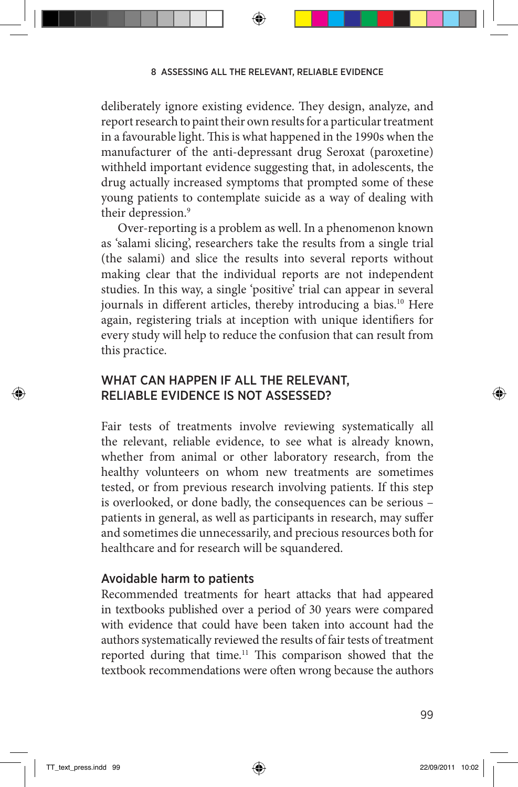deliberately ignore existing evidence. They design, analyze, and report research to paint their own results for a particular treatment in a favourable light. This is what happened in the 1990s when the manufacturer of the anti-depressant drug Seroxat (paroxetine) withheld important evidence suggesting that, in adolescents, the drug actually increased symptoms that prompted some of these young patients to contemplate suicide as a way of dealing with their depression.<sup>9</sup>

Over-reporting is a problem as well. In a phenomenon known as 'salami slicing', researchers take the results from a single trial (the salami) and slice the results into several reports without making clear that the individual reports are not independent studies. In this way, a single 'positive' trial can appear in several journals in different articles, thereby introducing a bias.<sup>10</sup> Here again, registering trials at inception with unique identifiers for every study will help to reduce the confusion that can result from this practice.

# WHAT CAN HAPPEN IF ALL THE RELEVANT, RELIABLE EVIDENCE IS NOT ASSESSED?

Fair tests of treatments involve reviewing systematically all the relevant, reliable evidence, to see what is already known, whether from animal or other laboratory research, from the healthy volunteers on whom new treatments are sometimes tested, or from previous research involving patients. If this step is overlooked, or done badly, the consequences can be serious – patients in general, as well as participants in research, may suffer and sometimes die unnecessarily, and precious resources both for healthcare and for research will be squandered.

## Avoidable harm to patients

Recommended treatments for heart attacks that had appeared in textbooks published over a period of 30 years were compared with evidence that could have been taken into account had the authors systematically reviewed the results of fair tests of treatment reported during that time.11 This comparison showed that the textbook recommendations were often wrong because the authors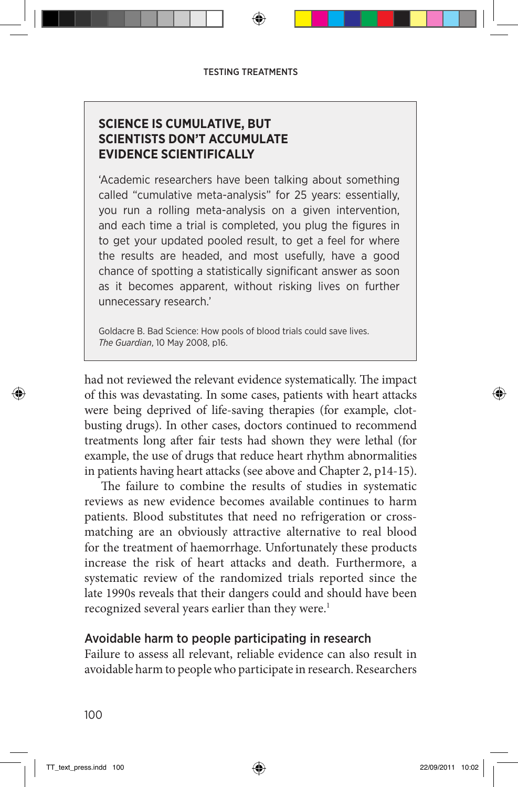# **SCIENCE IS CUMULATIVE, BUT SCIENTISTS DON'T ACCUMULATE EVIDENCE SCIENTIFICALLY**

'Academic researchers have been talking about something called "cumulative meta-analysis" for 25 years: essentially, you run a rolling meta-analysis on a given intervention, and each time a trial is completed, you plug the figures in to get your updated pooled result, to get a feel for where the results are headed, and most usefully, have a good chance of spotting a statistically significant answer as soon as it becomes apparent, without risking lives on further unnecessary research.'

Goldacre B. Bad Science: How pools of blood trials could save lives. *The Guardian*, 10 May 2008, p16.

had not reviewed the relevant evidence systematically. The impact of this was devastating. In some cases, patients with heart attacks were being deprived of life-saving therapies (for example, clotbusting drugs). In other cases, doctors continued to recommend treatments long after fair tests had shown they were lethal (for example, the use of drugs that reduce heart rhythm abnormalities in patients having heart attacks (see above and Chapter 2, p14-15).

The failure to combine the results of studies in systematic reviews as new evidence becomes available continues to harm patients. Blood substitutes that need no refrigeration or crossmatching are an obviously attractive alternative to real blood for the treatment of haemorrhage. Unfortunately these products increase the risk of heart attacks and death. Furthermore, a systematic review of the randomized trials reported since the late 1990s reveals that their dangers could and should have been recognized several years earlier than they were.<sup>1</sup>

#### Avoidable harm to people participating in research

Failure to assess all relevant, reliable evidence can also result in avoidable harm to people who participate in research. Researchers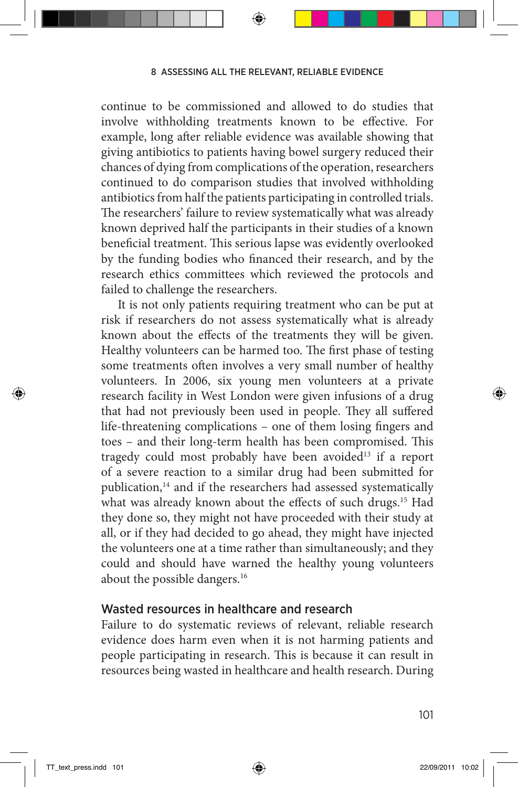continue to be commissioned and allowed to do studies that involve withholding treatments known to be effective. For example, long after reliable evidence was available showing that giving antibiotics to patients having bowel surgery reduced their chances of dying from complications of the operation, researchers continued to do comparison studies that involved withholding antibiotics from half the patients participating in controlled trials. The researchers' failure to review systematically what was already known deprived half the participants in their studies of a known beneficial treatment. This serious lapse was evidently overlooked by the funding bodies who financed their research, and by the research ethics committees which reviewed the protocols and failed to challenge the researchers.

It is not only patients requiring treatment who can be put at risk if researchers do not assess systematically what is already known about the effects of the treatments they will be given. Healthy volunteers can be harmed too. The first phase of testing some treatments often involves a very small number of healthy volunteers. In 2006, six young men volunteers at a private research facility in West London were given infusions of a drug that had not previously been used in people. They all suffered life-threatening complications – one of them losing fingers and toes – and their long-term health has been compromised. This tragedy could most probably have been avoided<sup>13</sup> if a report of a severe reaction to a similar drug had been submitted for publication,<sup>14</sup> and if the researchers had assessed systematically what was already known about the effects of such drugs.15 Had they done so, they might not have proceeded with their study at all, or if they had decided to go ahead, they might have injected the volunteers one at a time rather than simultaneously; and they could and should have warned the healthy young volunteers about the possible dangers.16

#### Wasted resources in healthcare and research

Failure to do systematic reviews of relevant, reliable research evidence does harm even when it is not harming patients and people participating in research. This is because it can result in resources being wasted in healthcare and health research. During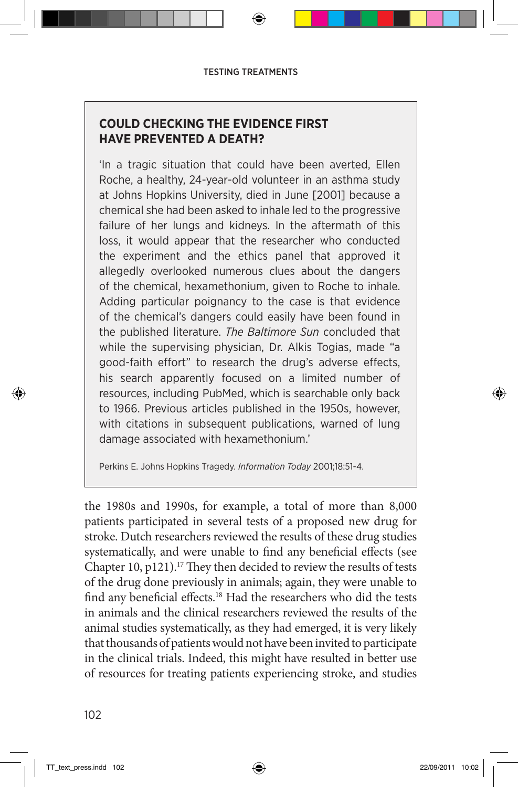# **COULD CHECKING THE EVIDENCE FIRST HAVE PREVENTED A DEATH?**

'In a tragic situation that could have been averted, Ellen Roche, a healthy, 24-year-old volunteer in an asthma study at Johns Hopkins University, died in June [2001] because a chemical she had been asked to inhale led to the progressive failure of her lungs and kidneys. In the aftermath of this loss, it would appear that the researcher who conducted the experiment and the ethics panel that approved it allegedly overlooked numerous clues about the dangers of the chemical, hexamethonium, given to Roche to inhale. Adding particular poignancy to the case is that evidence of the chemical's dangers could easily have been found in the published literature. *The Baltimore Sun* concluded that while the supervising physician, Dr. Alkis Togias, made "a good-faith effort" to research the drug's adverse effects, his search apparently focused on a limited number of resources, including PubMed, which is searchable only back to 1966. Previous articles published in the 1950s, however, with citations in subsequent publications, warned of lung damage associated with hexamethonium.'

Perkins E. Johns Hopkins Tragedy. *Information Today* 2001;18:51-4.

the 1980s and 1990s, for example, a total of more than 8,000 patients participated in several tests of a proposed new drug for stroke. Dutch researchers reviewed the results of these drug studies systematically, and were unable to find any beneficial effects (see Chapter 10, p121).<sup>17</sup> They then decided to review the results of tests of the drug done previously in animals; again, they were unable to find any beneficial effects.18 Had the researchers who did the tests in animals and the clinical researchers reviewed the results of the animal studies systematically, as they had emerged, it is very likely that thousands of patients would not have been invited to participate in the clinical trials. Indeed, this might have resulted in better use of resources for treating patients experiencing stroke, and studies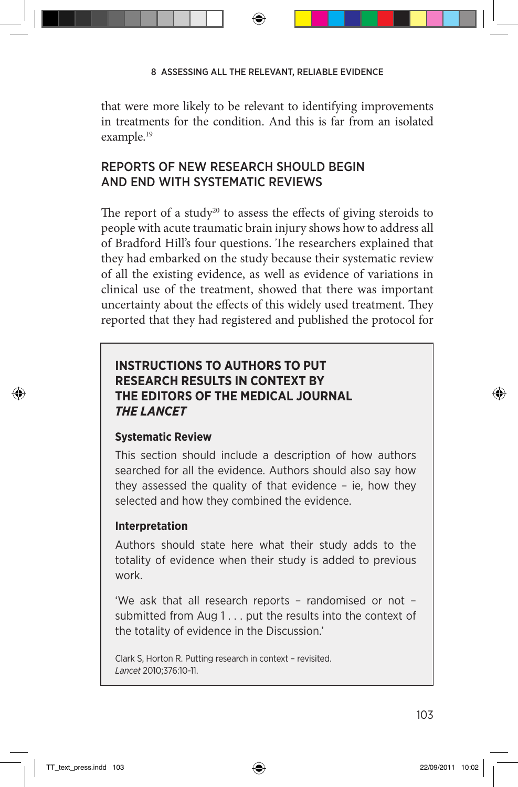that were more likely to be relevant to identifying improvements in treatments for the condition. And this is far from an isolated example.<sup>19</sup>

# REPORTS OF NEW RESEARCH SHOULD BEGIN AND END WITH SYSTEMATIC REVIEWS

The report of a study<sup>20</sup> to assess the effects of giving steroids to people with acute traumatic brain injury shows how to address all of Bradford Hill's four questions. The researchers explained that they had embarked on the study because their systematic review of all the existing evidence, as well as evidence of variations in clinical use of the treatment, showed that there was important uncertainty about the effects of this widely used treatment. They reported that they had registered and published the protocol for

# **INSTRUCTIONS TO AUTHORS TO PUT RESEARCH RESULTS IN CONTEXT BY THE EDITORS OF THE MEDICAL JOURNAL** *THE LANCET*

#### **Systematic Review**

This section should include a description of how authors searched for all the evidence. Authors should also say how they assessed the quality of that evidence – ie, how they selected and how they combined the evidence.

#### **Interpretation**

Authors should state here what their study adds to the totality of evidence when their study is added to previous work.

'We ask that all research reports – randomised or not – submitted from Aug 1 . . . put the results into the context of the totality of evidence in the Discussion.'

```
Clark S, Horton R. Putting research in context – revisited.
Lancet 2010;376:10-11.
```